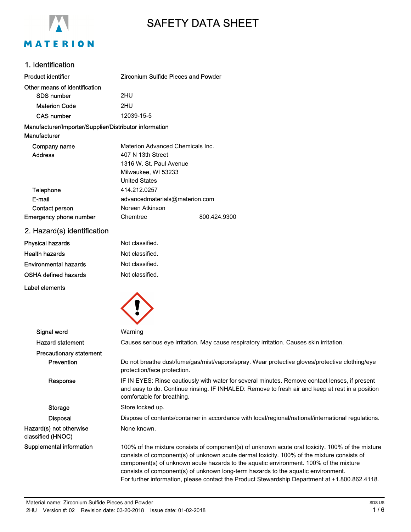

# SAFETY DATA SHEET

### 1. Identification

| <b>Product identifier</b>                                              | Zirconium Sulfide Pieces and Powder |  |
|------------------------------------------------------------------------|-------------------------------------|--|
| Other means of identification                                          |                                     |  |
| <b>SDS number</b>                                                      | 2HU                                 |  |
| <b>Materion Code</b>                                                   | 2HU                                 |  |
| <b>CAS number</b>                                                      | 12039-15-5                          |  |
| Manufacturer/Importer/Supplier/Distributor information<br>Manufacturer |                                     |  |
| Company name                                                           | Materion Advanced Chemicals Inc.    |  |
| <b>Address</b>                                                         | 407 N 13th Street                   |  |
|                                                                        | 1316 W. St. Paul Avenue             |  |

|                               | Milwaukee, WI 53233            |              |
|-------------------------------|--------------------------------|--------------|
|                               | <b>United States</b>           |              |
| Telephone                     | 414.212.0257                   |              |
| E-mail                        | advancedmaterials@materion.com |              |
| Contact person                | Noreen Atkinson                |              |
| <b>Emergency phone number</b> | Chemtrec                       | 800.424.9300 |

# 2. Hazard(s) identification

| Physical hazards      | Not classified. |
|-----------------------|-----------------|
| Health hazards        | Not classified. |
| Environmental hazards | Not classified. |
| OSHA defined hazards  | Not classified. |
|                       |                 |

Label elements



| Signal word                                  | Warning                                                                                                                                                                                                                                                                                                                                                                                                                                                                        |
|----------------------------------------------|--------------------------------------------------------------------------------------------------------------------------------------------------------------------------------------------------------------------------------------------------------------------------------------------------------------------------------------------------------------------------------------------------------------------------------------------------------------------------------|
| <b>Hazard statement</b>                      | Causes serious eye irritation. May cause respiratory irritation. Causes skin irritation.                                                                                                                                                                                                                                                                                                                                                                                       |
| <b>Precautionary statement</b>               |                                                                                                                                                                                                                                                                                                                                                                                                                                                                                |
| Prevention                                   | Do not breathe dust/fume/gas/mist/vapors/spray. Wear protective gloves/protective clothing/eye<br>protection/face protection.                                                                                                                                                                                                                                                                                                                                                  |
| Response                                     | IF IN EYES: Rinse cautiously with water for several minutes. Remove contact lenses, if present<br>and easy to do. Continue rinsing. IF INHALED: Remove to fresh air and keep at rest in a position<br>comfortable for breathing.                                                                                                                                                                                                                                               |
| Storage                                      | Store locked up.                                                                                                                                                                                                                                                                                                                                                                                                                                                               |
| <b>Disposal</b>                              | Dispose of contents/container in accordance with local/regional/national/international regulations.                                                                                                                                                                                                                                                                                                                                                                            |
| Hazard(s) not otherwise<br>classified (HNOC) | None known.                                                                                                                                                                                                                                                                                                                                                                                                                                                                    |
| Supplemental information                     | 100% of the mixture consists of component(s) of unknown acute oral toxicity. 100% of the mixture<br>consists of component(s) of unknown acute dermal toxicity. 100% of the mixture consists of<br>component(s) of unknown acute hazards to the aquatic environment. 100% of the mixture<br>consists of component(s) of unknown long-term hazards to the aquatic environment.<br>For further information, please contact the Product Stewardship Department at +1.800.862.4118. |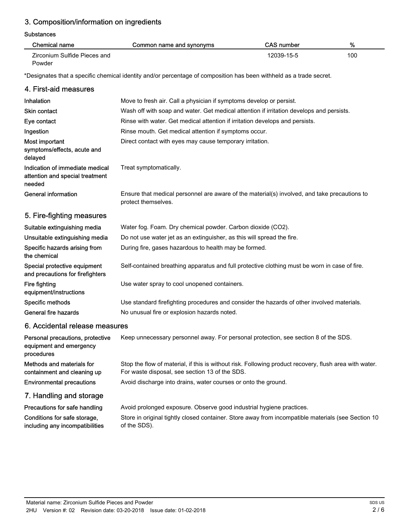# 3. Composition/information on ingredients

#### **Substances**

| Chemical name                | Common name and synonyms | <b>CAS number</b> | %   |
|------------------------------|--------------------------|-------------------|-----|
| Zirconium Sulfide Pieces and |                          | 12039-15-5        | 100 |
| Powder                       |                          |                   |     |

\*Designates that a specific chemical identity and/or percentage of composition has been withheld as a trade secret.

#### 4. First-aid measures Inhalation **Move to fresh air.** Call a physician if symptoms develop or persist. Skin contact **Wash off with soap and water. Get medical attention if irritation develops and persists.** Eye contact **Rinse with water. Get medical attention if irritation develops and persists.** Ingestion **Ringsetion** Rinse mouth. Get medical attention if symptoms occur. Most important **Direct contact with eyes may cause temporary irritation.** symptoms/effects, acute and delayed Indication of immediate medical Treat symptomatically. attention and special treatment needed Ensure that medical personnel are aware of the material(s) involved, and take precautions to protect themselves. General information 5. Fire-fighting measures Suitable extinguishing media Water fog. Foam. Dry chemical powder. Carbon dioxide (CO2). Unsuitable extinguishing media Do not use water jet as an extinguisher, as this will spread the fire. Specific hazards arising from During fire, gases hazardous to health may be formed. the chemical Special protective equipment Self-contained breathing apparatus and full protective clothing must be worn in case of fire. and precautions for firefighters Fire fighting **Example 20** Use water spray to cool unopened containers. equipment/instructions Specific methods Use standard firefighting procedures and consider the hazards of other involved materials. General fire hazards No unusual fire or explosion hazards noted. 6. Accidental release measures Personal precautions, protective Keep unnecessary personnel away. For personal protection, see section 8 of the SDS. equipment and emergency procedures Stop the flow of material, if this is without risk. Following product recovery, flush area with water. For waste disposal, see section 13 of the SDS. Methods and materials for containment and cleaning up Environmental precautions Avoid discharge into drains, water courses or onto the ground. 7. Handling and storage **Precautions for safe handling** Avoid prolonged exposure. Observe good industrial hygiene practices. Store in original tightly closed container. Store away from incompatible materials (see Section 10 of the SDS). Conditions for safe storage, including any incompatibilities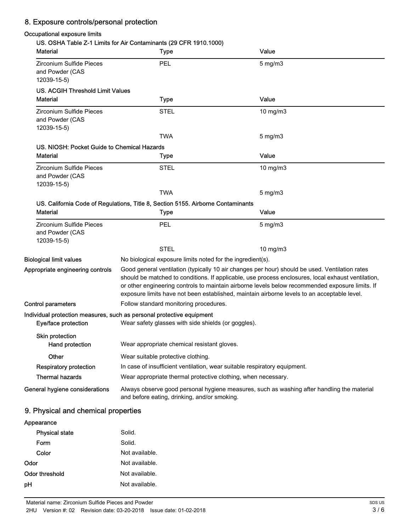# 8. Exposure controls/personal protection

# Occupational exposure limits

|                                                            | <b>Type</b>                                                                                                                                | Value                                                                                                                                                                                                                                                                                                                                                                                                  |
|------------------------------------------------------------|--------------------------------------------------------------------------------------------------------------------------------------------|--------------------------------------------------------------------------------------------------------------------------------------------------------------------------------------------------------------------------------------------------------------------------------------------------------------------------------------------------------------------------------------------------------|
| Zirconium Sulfide Pieces<br>and Powder (CAS<br>12039-15-5) | PEL                                                                                                                                        | $5$ mg/m $3$                                                                                                                                                                                                                                                                                                                                                                                           |
| <b>US. ACGIH Threshold Limit Values</b>                    |                                                                                                                                            |                                                                                                                                                                                                                                                                                                                                                                                                        |
| <b>Material</b>                                            | <b>Type</b>                                                                                                                                | Value                                                                                                                                                                                                                                                                                                                                                                                                  |
| Zirconium Sulfide Pieces<br>and Powder (CAS<br>12039-15-5) | <b>STEL</b>                                                                                                                                | 10 mg/m3                                                                                                                                                                                                                                                                                                                                                                                               |
|                                                            | TWA                                                                                                                                        | 5 mg/m3                                                                                                                                                                                                                                                                                                                                                                                                |
| US. NIOSH: Pocket Guide to Chemical Hazards                |                                                                                                                                            |                                                                                                                                                                                                                                                                                                                                                                                                        |
| <b>Material</b>                                            | <b>Type</b>                                                                                                                                | Value                                                                                                                                                                                                                                                                                                                                                                                                  |
| Zirconium Sulfide Pieces<br>and Powder (CAS<br>12039-15-5) | <b>STEL</b>                                                                                                                                | 10 mg/m3                                                                                                                                                                                                                                                                                                                                                                                               |
|                                                            | <b>TWA</b>                                                                                                                                 | 5 mg/m3                                                                                                                                                                                                                                                                                                                                                                                                |
|                                                            | US. California Code of Regulations, Title 8, Section 5155. Airborne Contaminants                                                           |                                                                                                                                                                                                                                                                                                                                                                                                        |
| <b>Material</b>                                            | <b>Type</b>                                                                                                                                | Value                                                                                                                                                                                                                                                                                                                                                                                                  |
| Zirconium Sulfide Pieces                                   | PEL                                                                                                                                        | 5 mg/m3                                                                                                                                                                                                                                                                                                                                                                                                |
| and Powder (CAS<br>12039-15-5)                             |                                                                                                                                            |                                                                                                                                                                                                                                                                                                                                                                                                        |
|                                                            | <b>STEL</b>                                                                                                                                | 10 mg/m3                                                                                                                                                                                                                                                                                                                                                                                               |
| <b>Biological limit values</b>                             | No biological exposure limits noted for the ingredient(s).                                                                                 |                                                                                                                                                                                                                                                                                                                                                                                                        |
| Appropriate engineering controls                           |                                                                                                                                            | Good general ventilation (typically 10 air changes per hour) should be used. Ventilation rates<br>should be matched to conditions. If applicable, use process enclosures, local exhaust ventilation,<br>or other engineering controls to maintain airborne levels below recommended exposure limits. If<br>exposure limits have not been established, maintain airborne levels to an acceptable level. |
| <b>Control parameters</b>                                  | Follow standard monitoring procedures.                                                                                                     |                                                                                                                                                                                                                                                                                                                                                                                                        |
| Eye/face protection                                        | Individual protection measures, such as personal protective equipment<br>Wear safety glasses with side shields (or goggles).               |                                                                                                                                                                                                                                                                                                                                                                                                        |
| <b>Skin protection</b><br><b>Hand protection</b>           | Wear appropriate chemical resistant gloves.                                                                                                |                                                                                                                                                                                                                                                                                                                                                                                                        |
|                                                            |                                                                                                                                            |                                                                                                                                                                                                                                                                                                                                                                                                        |
| Other                                                      | Wear suitable protective clothing.                                                                                                         |                                                                                                                                                                                                                                                                                                                                                                                                        |
| <b>Respiratory protection</b><br><b>Thermal hazards</b>    | In case of insufficient ventilation, wear suitable respiratory equipment.<br>Wear appropriate thermal protective clothing, when necessary. |                                                                                                                                                                                                                                                                                                                                                                                                        |

# 9. Physical and chemical properties

| Appearance            |                |
|-----------------------|----------------|
| <b>Physical state</b> | Solid.         |
| Form                  | Solid.         |
| Color                 | Not available. |
| Odor                  | Not available. |
| Odor threshold        | Not available. |
| pН                    | Not available. |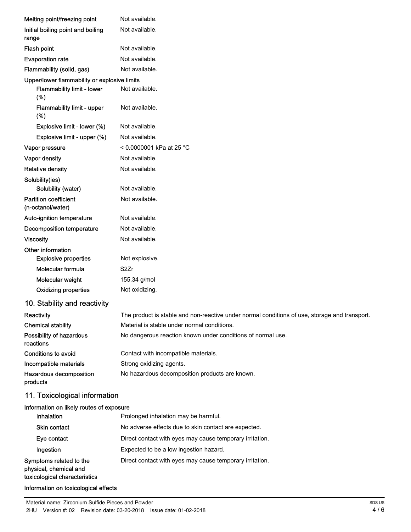| Melting point/freezing point                      | Not available.                                                                                |
|---------------------------------------------------|-----------------------------------------------------------------------------------------------|
| Initial boiling point and boiling                 | Not available.                                                                                |
| range                                             |                                                                                               |
| Flash point                                       | Not available.                                                                                |
| <b>Evaporation rate</b>                           | Not available.                                                                                |
| Flammability (solid, gas)                         | Not available.                                                                                |
| Upper/lower flammability or explosive limits      |                                                                                               |
| Flammability limit - lower<br>(%)                 | Not available.                                                                                |
| Flammability limit - upper<br>(%)                 | Not available.                                                                                |
| Explosive limit - lower (%)                       | Not available.                                                                                |
| Explosive limit - upper (%)                       | Not available.                                                                                |
| Vapor pressure                                    | < 0.0000001 kPa at 25 °C                                                                      |
| Vapor density                                     | Not available.                                                                                |
| <b>Relative density</b>                           | Not available.                                                                                |
| Solubility(ies)                                   |                                                                                               |
| Solubility (water)                                | Not available.                                                                                |
| <b>Partition coefficient</b><br>(n-octanol/water) | Not available.                                                                                |
| Auto-ignition temperature                         | Not available.                                                                                |
| <b>Decomposition temperature</b>                  | Not available.                                                                                |
| <b>Viscosity</b>                                  | Not available.                                                                                |
| Other information                                 |                                                                                               |
| <b>Explosive properties</b>                       | Not explosive.                                                                                |
| Molecular formula                                 | S <sub>2</sub> Zr                                                                             |
| Molecular weight                                  | 155.34 g/mol                                                                                  |
| <b>Oxidizing properties</b>                       | Not oxidizing.                                                                                |
| 10. Stability and reactivity                      |                                                                                               |
| Reactivity                                        | The product is stable and non-reactive under normal conditions of use, storage and transport. |
| <b>Chemical stability</b>                         | Material is stable under normal conditions.                                                   |
| Possibility of hazardous<br>reactions             | No dangerous reaction known under conditions of normal use.                                   |
| <b>Conditions to avoid</b>                        | Contact with incompatible materials.                                                          |
| Incompatible materials                            | Strong oxidizing agents.                                                                      |
| Hazardous decomposition<br>products               | No hazardous decomposition products are known.                                                |
| 11. Toxicological information                     |                                                                                               |
| Information on likely routes of exposure          |                                                                                               |
| Inhalation                                        | Prolonged inhalation may be harmful.                                                          |
| Skin contact                                      | No adverse effects due to skin contact are expected.                                          |
| Eye contact                                       | Direct contact with eyes may cause temporary irritation.                                      |

Ingestion Expected to be a low ingestion hazard.

Symptoms related to the Direct contact with eyes may cause temporary irritation.

physical, chemical and toxicological characteristics

#### Information on toxicological effects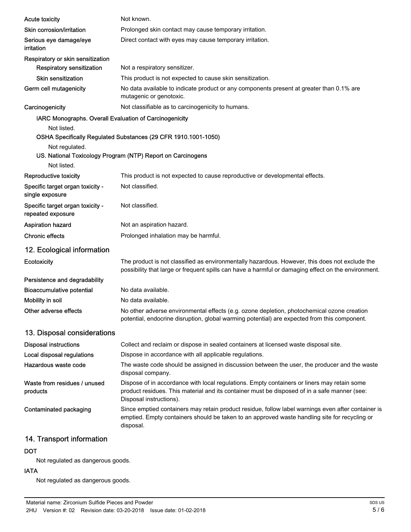| <b>Acute toxicity</b>                                  | Not known.                                                                                                                                                                                                             |
|--------------------------------------------------------|------------------------------------------------------------------------------------------------------------------------------------------------------------------------------------------------------------------------|
| Skin corrosion/irritation                              | Prolonged skin contact may cause temporary irritation.                                                                                                                                                                 |
| Serious eye damage/eye<br>irritation                   | Direct contact with eyes may cause temporary irritation.                                                                                                                                                               |
| Respiratory or skin sensitization                      |                                                                                                                                                                                                                        |
| <b>Respiratory sensitization</b>                       | Not a respiratory sensitizer.                                                                                                                                                                                          |
| <b>Skin sensitization</b>                              | This product is not expected to cause skin sensitization.                                                                                                                                                              |
| Germ cell mutagenicity                                 | No data available to indicate product or any components present at greater than 0.1% are<br>mutagenic or genotoxic.                                                                                                    |
| Carcinogenicity                                        | Not classifiable as to carcinogenicity to humans.                                                                                                                                                                      |
| IARC Monographs. Overall Evaluation of Carcinogenicity |                                                                                                                                                                                                                        |
| Not listed.<br>Not regulated.<br>Not listed.           | OSHA Specifically Regulated Substances (29 CFR 1910.1001-1050)<br>US. National Toxicology Program (NTP) Report on Carcinogens                                                                                          |
| Reproductive toxicity                                  | This product is not expected to cause reproductive or developmental effects.                                                                                                                                           |
| Specific target organ toxicity -<br>single exposure    | Not classified.                                                                                                                                                                                                        |
| Specific target organ toxicity -<br>repeated exposure  | Not classified.                                                                                                                                                                                                        |
| <b>Aspiration hazard</b>                               | Not an aspiration hazard.                                                                                                                                                                                              |
| <b>Chronic effects</b>                                 | Prolonged inhalation may be harmful.                                                                                                                                                                                   |
| 12. Ecological information                             |                                                                                                                                                                                                                        |
| Ecotoxicity                                            | The product is not classified as environmentally hazardous. However, this does not exclude the<br>possibility that large or frequent spills can have a harmful or damaging effect on the environment.                  |
| Persistence and degradability                          |                                                                                                                                                                                                                        |
| <b>Bioaccumulative potential</b>                       | No data available.                                                                                                                                                                                                     |
| Mobility in soil                                       | No data available.                                                                                                                                                                                                     |
| Other adverse effects                                  | No other adverse environmental effects (e.g. ozone depletion, photochemical ozone creation<br>potential, endocrine disruption, global warming potential) are expected from this component.                             |
| 13. Disposal considerations                            |                                                                                                                                                                                                                        |
| <b>Disposal instructions</b>                           | Collect and reclaim or dispose in sealed containers at licensed waste disposal site.                                                                                                                                   |
| Local disposal regulations                             | Dispose in accordance with all applicable regulations.                                                                                                                                                                 |
| Hazardous waste code                                   | The waste code should be assigned in discussion between the user, the producer and the waste<br>disposal company.                                                                                                      |
| Waste from residues / unused<br>products               | Dispose of in accordance with local regulations. Empty containers or liners may retain some<br>product residues. This material and its container must be disposed of in a safe manner (see:<br>Disposal instructions). |
| Contaminated packaging                                 | Since emptied containers may retain product residue, follow label warnings even after container is<br>emptied. Empty containers should be taken to an approved waste handling site for recycling or<br>disposal.       |
|                                                        |                                                                                                                                                                                                                        |

# 14. Transport information

#### DOT

Not regulated as dangerous goods.

#### IATA

Not regulated as dangerous goods.